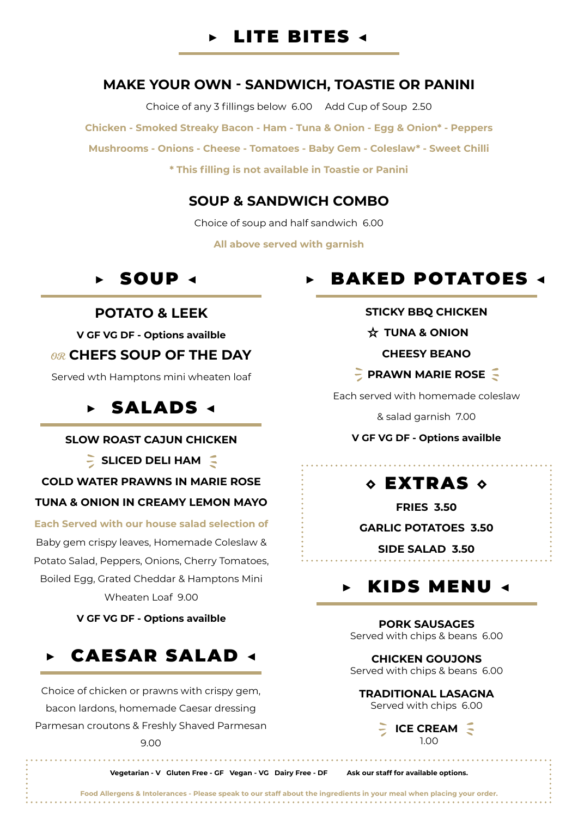

### **MAKE YOUR OWN - SANDWICH, TOASTIE OR PANINI**

Choice of any 3 fillings below 6.00 Add Cup of Soup 2.50 **Chicken - Smoked Streaky Bacon - Ham - Tuna & Onion - Egg & Onion\* - Peppers Mushrooms - Onions - Cheese - Tomatoes - Baby Gem - Coleslaw\* - Sweet Chilli \* This filling is not available in Toastie or Panini**

#### **SOUP & SANDWICH COMBO**

Choice of soup and half sandwich 6.00

**All above served with garnish**

### **POTATO & LEEK**

**V GF VG DF - Options availble**

#### OR **CHEFS SOUP OF THE DAY**

Served wth Hamptons mini wheaten loaf

# ▶ SALADS ◀

#### **SLOW ROAST CAJUN CHICKEN**

**SLICED DELI HAM**

**COLD WATER PRAWNS IN MARIE ROSE**

#### **TUNA & ONION IN CREAMY LEMON MAYO**

**Each Served with our house salad selection of** Baby gem crispy leaves, Homemade Coleslaw & Potato Salad, Peppers, Onions, Cherry Tomatoes, Boiled Egg, Grated Cheddar & Hamptons Mini Wheaten Loaf 9.00

**V GF VG DF - Options availble**



Choice of chicken or prawns with crispy gem, bacon lardons, homemade Caesar dressing Parmesan croutons & Freshly Shaved Parmesan 9.00

# ▶ SOUP ◀ ▶ BAKED POTATOES ◀

#### **STICKY BBQ CHICKEN**

#### **TUNA & ONION**

**CHEESY BEANO**

#### **PRAWN MARIE ROSE**

Each served with homemade coleslaw

& salad garnish 7.00

**V GF VG DF - Options availble**

# ◇ EXTRAS ◇

**FRIES 3.50**

**GARLIC POTATOES 3.50**

**SIDE SALAD 3.50**

# ▶ KIDS MENU ◀

**PORK SAUSAGES** Served with chips & beans 6.00

**CHICKEN GOUJONS** Served with chips & beans 6.00

**TRADITIONAL LASAGNA** Served with chips 6.00



**Vegetarian - V Gluten Free - GF Vegan - VG Dairy Free - DF Ask our staff for available options.**

**Food Allergens & Intolerances - Please speak to our staff about the ingredients in your meal when placing your order.**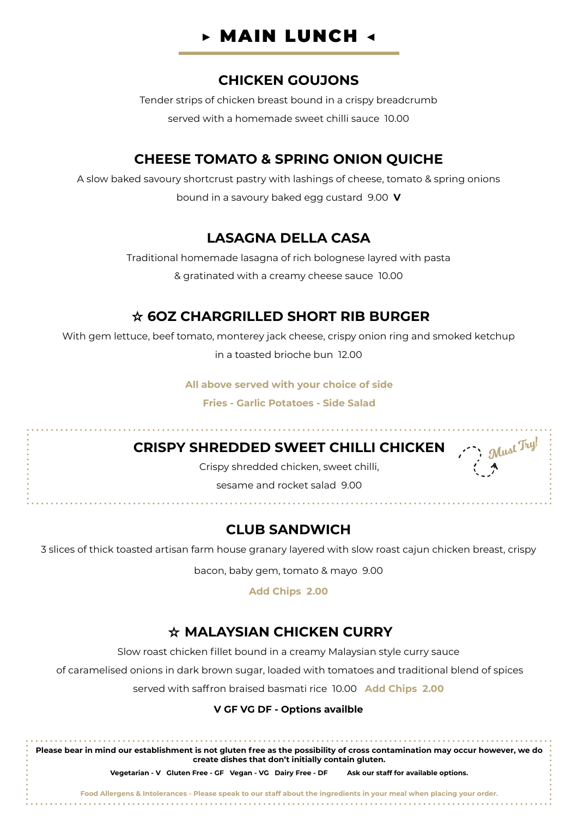

#### **CHICKEN GOUJONS**

Tender strips of chicken breast bound in a crispy breadcrumb served with a homemade sweet chilli sauce 10.00

## **CHEESE TOMATO & SPRING ONION QUICHE**

A slow baked savoury shortcrust pastry with lashings of cheese, tomato & spring onions bound in a savoury baked egg custard 9.00 **V**

## **LASAGNA DELLA CASA**

Traditional homemade lasagna of rich bolognese layred with pasta & gratinated with a creamy cheese sauce 10.00

## **6OZ CHARGRILLED SHORT RIB BURGER**

With gem lettuce, beef tomato, monterey jack cheese, crispy onion ring and smoked ketchup in a toasted brioche bun 12.00

**All above served with your choice of side**

**Fries - Garlic Potatoes - Side Salad**

## **CRISPY SHREDDED SWEET CHILLI CHICKEN**

Crispy shredded chicken, sweet chilli,

Must Try!

sesame and rocket salad 9.00

المتمام والمناور

## **CLUB SANDWICH**

3 slices of thick toasted artisan farm house granary layered with slow roast cajun chicken breast, crispy

bacon, baby gem, tomato & mayo 9.00

**Add Chips 2.00**

## **MALAYSIAN CHICKEN CURRY**

Slow roast chicken fillet bound in a creamy Malaysian style curry sauce

of caramelised onions in dark brown sugar, loaded with tomatoes and traditional blend of spices

served with saffron braised basmati rice 10.00 **Add Chips 2.00**

#### **V GF VG DF - Options availble**

**Please bear in mind our establishment is not gluten free as the possibility of cross contamination may occur however, we do create dishes that don't initially contain gluten.**

**Vegetarian - V Gluten Free - GF Vegan - VG Dairy Free - DF Ask our staff for available options.**

**Food Allergens & Intolerances - Please speak to our staff about the ingredients in your meal when placing your order.**